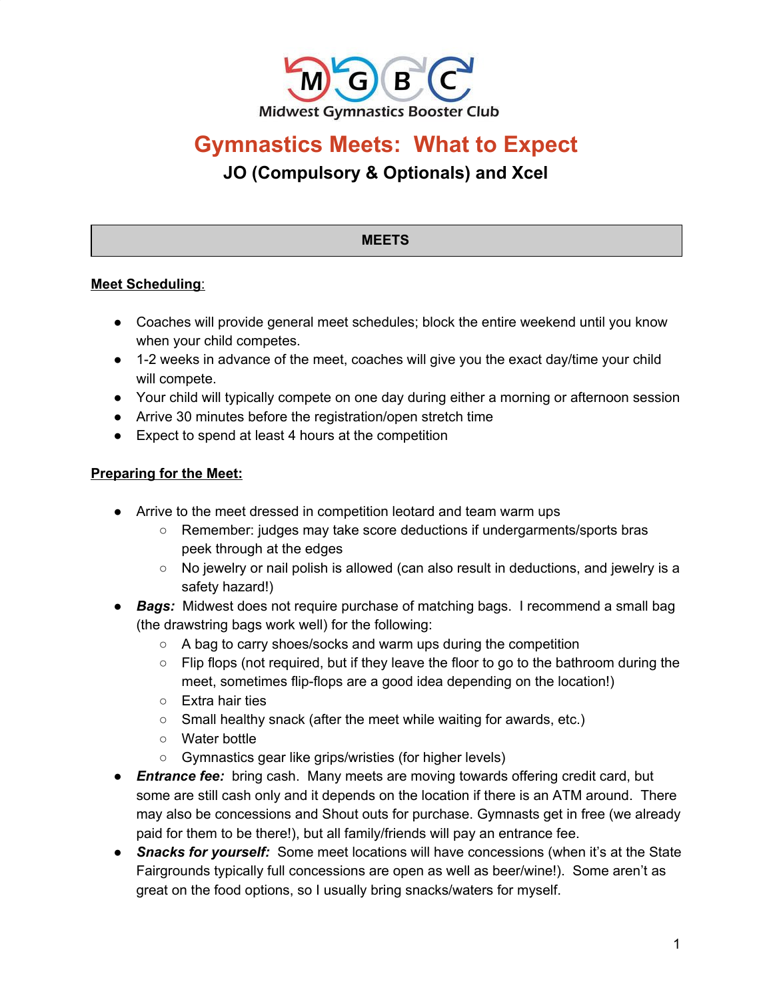

# **Gymnastics Meets: What to Expect JO (Compulsory & Optionals) and Xcel**

## **MEETS**

# **Meet Scheduling**:

- Coaches will provide general meet schedules; block the entire weekend until you know when your child competes.
- 1-2 weeks in advance of the meet, coaches will give you the exact day/time your child will compete.
- Your child will typically compete on one day during either a morning or afternoon session
- Arrive 30 minutes before the registration/open stretch time
- Expect to spend at least 4 hours at the competition

#### **Preparing for the Meet:**

- Arrive to the meet dressed in competition leotard and team warm ups
	- Remember: judges may take score deductions if undergarments/sports bras peek through at the edges
	- No jewelry or nail polish is allowed (can also result in deductions, and jewelry is a safety hazard!)
- *Bags:* Midwest does not require purchase of matching bags. I recommend a small bag (the drawstring bags work well) for the following:
	- A bag to carry shoes/socks and warm ups during the competition
	- $\circ$  Flip flops (not required, but if they leave the floor to go to the bathroom during the meet, sometimes flip-flops are a good idea depending on the location!)
	- Extra hair ties
	- Small healthy snack (after the meet while waiting for awards, etc.)
	- Water bottle
	- Gymnastics gear like grips/wristies (for higher levels)
- *Entrance fee:* bring cash. Many meets are moving towards offering credit card, but some are still cash only and it depends on the location if there is an ATM around. There may also be concessions and Shout outs for purchase. Gymnasts get in free (we already paid for them to be there!), but all family/friends will pay an entrance fee.
- *Snacks for yourself:* Some meet locations will have concessions (when it's at the State Fairgrounds typically full concessions are open as well as beer/wine!). Some aren't as great on the food options, so I usually bring snacks/waters for myself.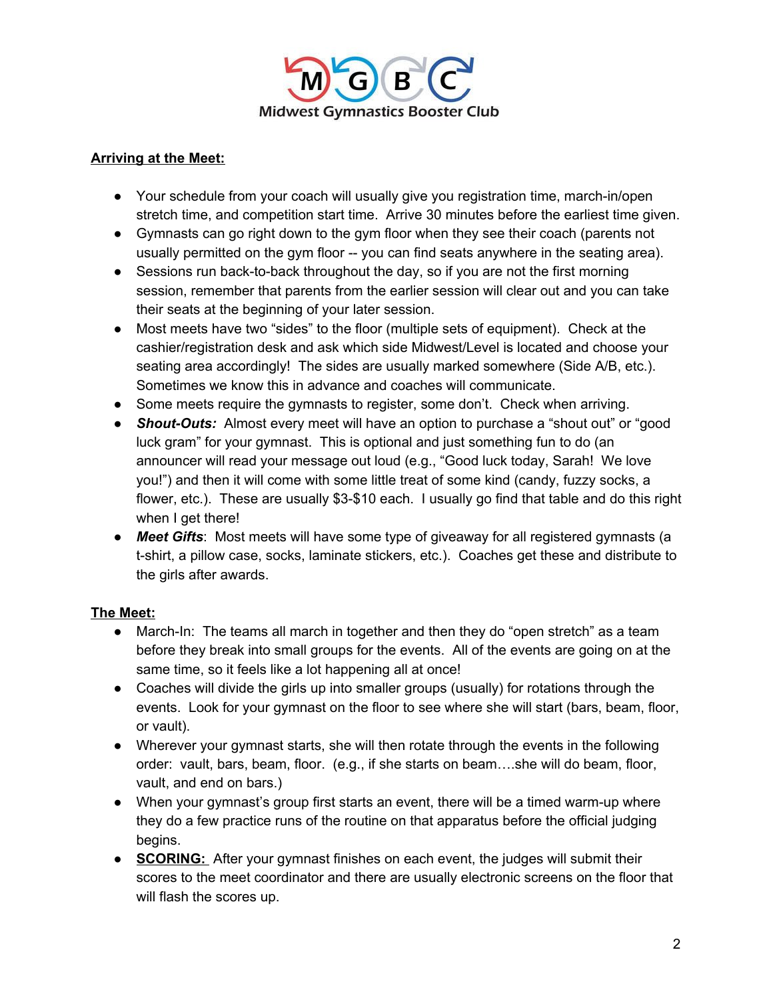

## **Arriving at the Meet:**

- Your schedule from your coach will usually give you registration time, march-in/open stretch time, and competition start time. Arrive 30 minutes before the earliest time given.
- Gymnasts can go right down to the gym floor when they see their coach (parents not usually permitted on the gym floor -- you can find seats anywhere in the seating area).
- Sessions run back-to-back throughout the day, so if you are not the first morning session, remember that parents from the earlier session will clear out and you can take their seats at the beginning of your later session.
- Most meets have two "sides" to the floor (multiple sets of equipment). Check at the cashier/registration desk and ask which side Midwest/Level is located and choose your seating area accordingly! The sides are usually marked somewhere (Side A/B, etc.). Sometimes we know this in advance and coaches will communicate.
- Some meets require the gymnasts to register, some don't. Check when arriving.
- **Shout-Outs:** Almost every meet will have an option to purchase a "shout out" or "good luck gram" for your gymnast. This is optional and just something fun to do (an announcer will read your message out loud (e.g., "Good luck today, Sarah! We love you!") and then it will come with some little treat of some kind (candy, fuzzy socks, a flower, etc.). These are usually \$3-\$10 each. I usually go find that table and do this right when I get there!
- *● Meet Gifts*: Most meets will have some type of giveaway for all registered gymnasts (a t-shirt, a pillow case, socks, laminate stickers, etc.). Coaches get these and distribute to the girls after awards.

# **The Meet:**

- March-In: The teams all march in together and then they do "open stretch" as a team before they break into small groups for the events. All of the events are going on at the same time, so it feels like a lot happening all at once!
- Coaches will divide the girls up into smaller groups (usually) for rotations through the events. Look for your gymnast on the floor to see where she will start (bars, beam, floor, or vault).
- Wherever your gymnast starts, she will then rotate through the events in the following order: vault, bars, beam, floor. (e.g., if she starts on beam….she will do beam, floor, vault, and end on bars.)
- When your gymnast's group first starts an event, there will be a timed warm-up where they do a few practice runs of the routine on that apparatus before the official judging begins.
- **SCORING:** After your gymnast finishes on each event, the judges will submit their scores to the meet coordinator and there are usually electronic screens on the floor that will flash the scores up.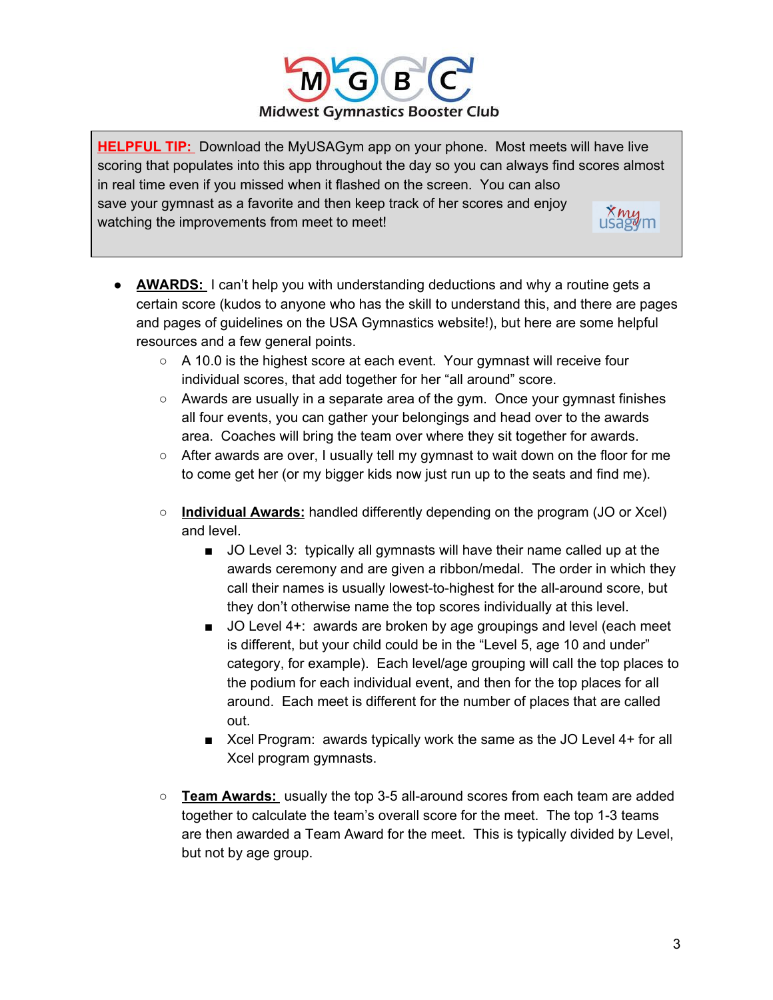

**HELPFUL TIP:** Download the MyUSAGym app on your phone. Most meets will have live scoring that populates into this app throughout the day so you can always find scores almost in real time even if you missed when it flashed on the screen. You can also save your gymnast as a favorite and then keep track of her scores and enjoy  $\mathbf{x}_{\text{maym}}$ watching the improvements from meet to meet!

- **AWARDS:** I can't help you with understanding deductions and why a routine gets a certain score (kudos to anyone who has the skill to understand this, and there are pages and pages of guidelines on the USA Gymnastics website!), but here are some helpful resources and a few general points.
	- A 10.0 is the highest score at each event. Your gymnast will receive four individual scores, that add together for her "all around" score.
	- $\circ$  Awards are usually in a separate area of the gym. Once your gymnast finishes all four events, you can gather your belongings and head over to the awards area. Coaches will bring the team over where they sit together for awards.
	- $\circ$  After awards are over, I usually tell my gymnast to wait down on the floor for me to come get her (or my bigger kids now just run up to the seats and find me).
	- **Individual Awards:** handled differently depending on the program (JO or Xcel) and level.
		- JO Level 3: typically all gymnasts will have their name called up at the awards ceremony and are given a ribbon/medal. The order in which they call their names is usually lowest-to-highest for the all-around score, but they don't otherwise name the top scores individually at this level.
		- JO Level 4+: awards are broken by age groupings and level (each meet is different, but your child could be in the "Level 5, age 10 and under" category, for example). Each level/age grouping will call the top places to the podium for each individual event, and then for the top places for all around. Each meet is different for the number of places that are called out.
		- Xcel Program: awards typically work the same as the JO Level 4+ for all Xcel program gymnasts.
	- **Team Awards:** usually the top 3-5 all-around scores from each team are added together to calculate the team's overall score for the meet. The top 1-3 teams are then awarded a Team Award for the meet. This is typically divided by Level, but not by age group.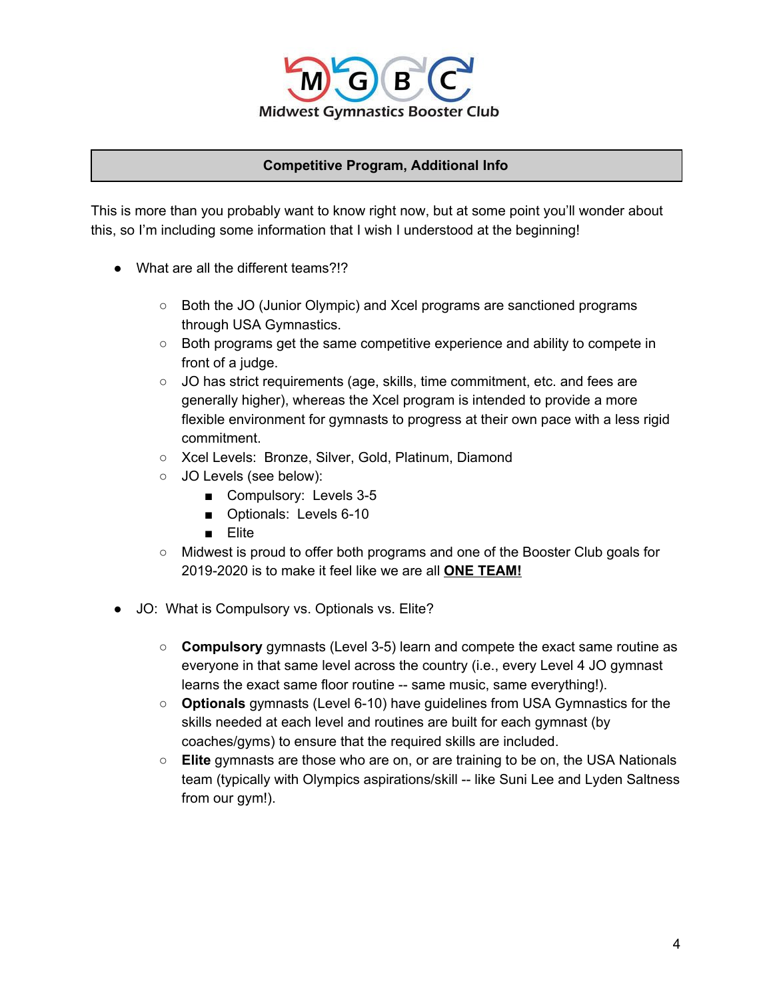

#### **Competitive Program, Additional Info**

This is more than you probably want to know right now, but at some point you'll wonder about this, so I'm including some information that I wish I understood at the beginning!

- What are all the different teams?!?
	- Both the JO (Junior Olympic) and Xcel programs are sanctioned programs through USA Gymnastics.
	- Both programs get the same competitive experience and ability to compete in front of a judge.
	- JO has strict requirements (age, skills, time commitment, etc. and fees are generally higher), whereas the Xcel program is intended to provide a more flexible environment for gymnasts to progress at their own pace with a less rigid commitment.
	- Xcel Levels: Bronze, Silver, Gold, Platinum, Diamond
	- o JO Levels (see below):
		- Compulsory: Levels 3-5
		- Optionals: Levels 6-10
		- Elite
	- Midwest is proud to offer both programs and one of the Booster Club goals for 2019-2020 is to make it feel like we are all **ONE TEAM!**
- JO: What is Compulsory vs. Optionals vs. Elite?
	- **Compulsory** gymnasts (Level 3-5) learn and compete the exact same routine as everyone in that same level across the country (i.e., every Level 4 JO gymnast learns the exact same floor routine -- same music, same everything!).
	- **Optionals** gymnasts (Level 6-10) have guidelines from USA Gymnastics for the skills needed at each level and routines are built for each gymnast (by coaches/gyms) to ensure that the required skills are included.
	- **Elite** gymnasts are those who are on, or are training to be on, the USA Nationals team (typically with Olympics aspirations/skill -- like Suni Lee and Lyden Saltness from our gym!).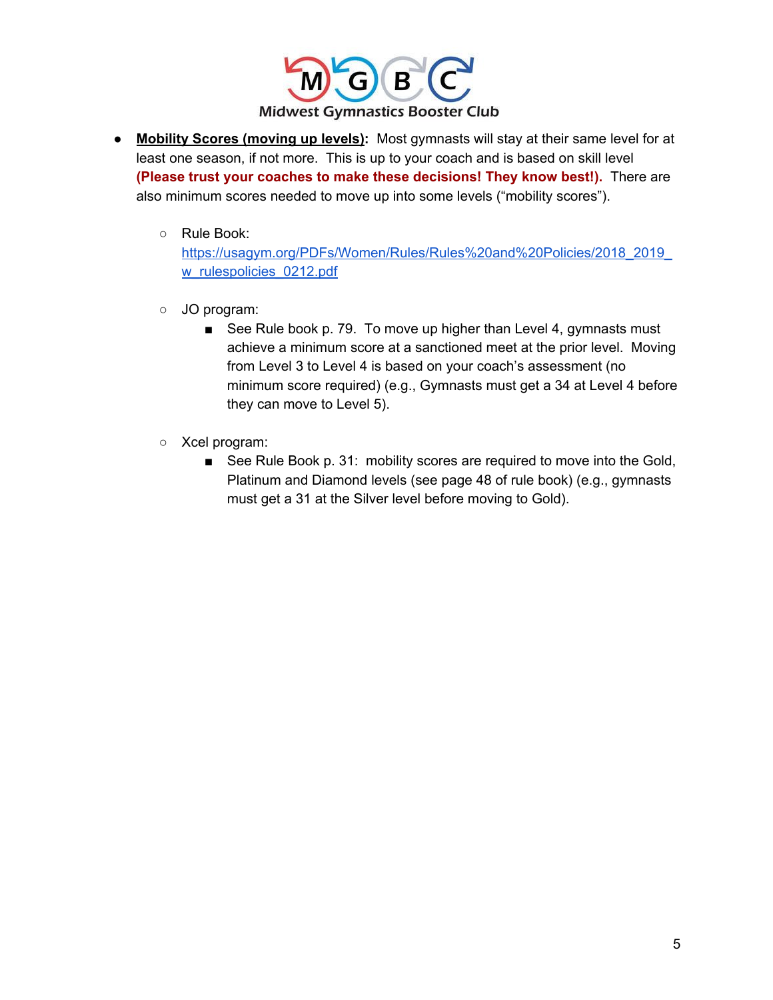

- **Mobility Scores (moving up levels):** Most gymnasts will stay at their same level for at least one season, if not more. This is up to your coach and is based on skill level **(Please trust your coaches to make these decisions! They know best!).** There are also minimum scores needed to move up into some levels ("mobility scores").
	- Rule Book:

[https://usagym.org/PDFs/Women/Rules/Rules%20and%20Policies/2018\\_2019\\_](https://usagym.org/PDFs/Women/Rules/Rules%20and%20Policies/2018_2019_w_rulespolicies_0212.pdf) [w\\_rulespolicies\\_0212.pdf](https://usagym.org/PDFs/Women/Rules/Rules%20and%20Policies/2018_2019_w_rulespolicies_0212.pdf)

- JO program:
	- See Rule book p. 79. To move up higher than Level 4, gymnasts must achieve a minimum score at a sanctioned meet at the prior level. Moving from Level 3 to Level 4 is based on your coach's assessment (no minimum score required) (e.g., Gymnasts must get a 34 at Level 4 before they can move to Level 5).
- Xcel program:
	- See Rule Book p. 31: mobility scores are required to move into the Gold, Platinum and Diamond levels (see page 48 of rule book) (e.g., gymnasts must get a 31 at the Silver level before moving to Gold).